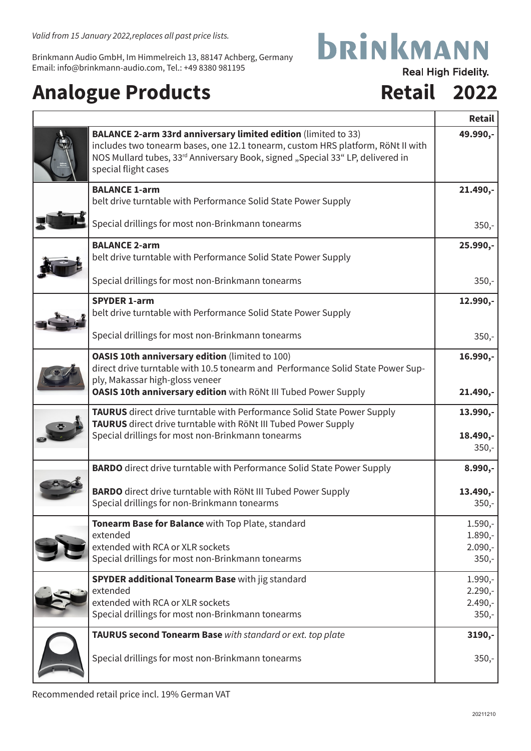Brinkmann Audio GmbH, Im Himmelreich 13, 88147 Achberg, Germany Email: info@brinkmann-audio.com, Tel.: +49 8380 981195

## Analogue Products **Retail 2022**

ľ

## **bRINKMANN Real High Fidelity.**

|                                                                                                                                                                                                                                                             | <b>Retail</b>          |
|-------------------------------------------------------------------------------------------------------------------------------------------------------------------------------------------------------------------------------------------------------------|------------------------|
| BALANCE 2-arm 33rd anniversary limited edition (limited to 33)<br>includes two tonearm bases, one 12.1 tonearm, custom HRS platform, RöNt II with<br>NOS Mullard tubes, 33rd Anniversary Book, signed "Special 33" LP, delivered in<br>special flight cases | 49.990,-               |
| <b>BALANCE 1-arm</b><br>belt drive turntable with Performance Solid State Power Supply                                                                                                                                                                      | $21.490, -$            |
| Special drillings for most non-Brinkmann tonearms                                                                                                                                                                                                           | $350,-$                |
| <b>BALANCE 2-arm</b><br>belt drive turntable with Performance Solid State Power Supply                                                                                                                                                                      | 25.990,-               |
| Special drillings for most non-Brinkmann tonearms                                                                                                                                                                                                           | $350,-$                |
| <b>SPYDER 1-arm</b><br>belt drive turntable with Performance Solid State Power Supply                                                                                                                                                                       | 12.990,-               |
| Special drillings for most non-Brinkmann tonearms                                                                                                                                                                                                           | $350,-$                |
| <b>OASIS 10th anniversary edition (limited to 100)</b><br>direct drive turntable with 10.5 tonearm and Performance Solid State Power Sup-<br>ply, Makassar high-gloss veneer                                                                                | 16.990,-               |
| OASIS 10th anniversary edition with RöNt III Tubed Power Supply                                                                                                                                                                                             | 21.490,-               |
| TAURUS direct drive turntable with Performance Solid State Power Supply<br>TAURUS direct drive turntable with RöNt III Tubed Power Supply                                                                                                                   | 13.990,-               |
| Special drillings for most non-Brinkmann tonearms                                                                                                                                                                                                           | 18.490,-<br>$350,-$    |
| <b>BARDO</b> direct drive turntable with Performance Solid State Power Supply                                                                                                                                                                               | $8.990,-$              |
| <b>BARDO</b> direct drive turntable with RöNt III Tubed Power Supply<br>Special drillings for non-Brinkmann tonearms                                                                                                                                        | $13.490,-$<br>$350,-$  |
| Tonearm Base for Balance with Top Plate, standard<br>extended                                                                                                                                                                                               | $1.590,-$<br>$1.890,-$ |
| extended with RCA or XLR sockets<br>Special drillings for most non-Brinkmann tonearms                                                                                                                                                                       | $2.090,-$<br>$350,-$   |
| <b>SPYDER additional Tonearm Base with jig standard</b>                                                                                                                                                                                                     | $1.990,-$              |
| extended<br>extended with RCA or XLR sockets                                                                                                                                                                                                                | $2.290,-$<br>$2.490,-$ |
| Special drillings for most non-Brinkmann tonearms                                                                                                                                                                                                           | $350,-$                |
| TAURUS second Tonearm Base with standard or ext. top plate                                                                                                                                                                                                  | 3190,-                 |
| Special drillings for most non-Brinkmann tonearms                                                                                                                                                                                                           | $350,-$                |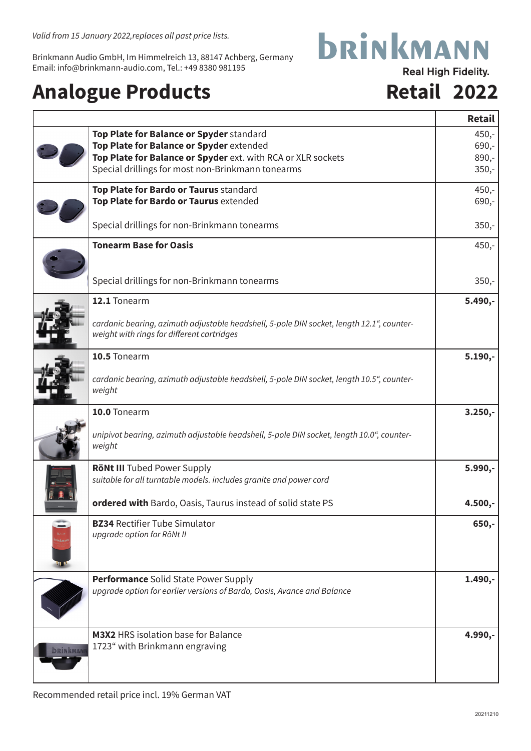*Valid from 15 January 2022,replaces all past price lists.*

Brinkmann Audio GmbH, Im Himmelreich 13, 88147 Achberg, Germany Email: info@brinkmann-audio.com, Tel.: +49 8380 981195

## Analogue Products **Retail 2022**

# **bRINKMANN**

**Real High Fidelity.** 

|                                |                                                                                                                                         | <b>Retail</b> |
|--------------------------------|-----------------------------------------------------------------------------------------------------------------------------------------|---------------|
|                                | Top Plate for Balance or Spyder standard                                                                                                | $450,-$       |
|                                | Top Plate for Balance or Spyder extended                                                                                                | $690,-$       |
|                                | Top Plate for Balance or Spyder ext. with RCA or XLR sockets                                                                            | $890,-$       |
|                                | Special drillings for most non-Brinkmann tonearms                                                                                       | $350,-$       |
|                                | Top Plate for Bardo or Taurus standard                                                                                                  | $450,-$       |
|                                | Top Plate for Bardo or Taurus extended                                                                                                  | $690,-$       |
|                                | Special drillings for non-Brinkmann tonearms                                                                                            | $350,-$       |
|                                | <b>Tonearm Base for Oasis</b>                                                                                                           | $450,-$       |
|                                | Special drillings for non-Brinkmann tonearms                                                                                            | $350,-$       |
|                                | 12.1 Tonearm                                                                                                                            | $5.490,-$     |
|                                | cardanic bearing, azimuth adjustable headshell, 5-pole DIN socket, length 12.1", counter-<br>weight with rings for different cartridges |               |
|                                | 10.5 Tonearm                                                                                                                            | $5.190,-$     |
|                                | cardanic bearing, azimuth adjustable headshell, 5-pole DIN socket, length 10.5", counter-<br>weight                                     |               |
|                                | 10.0 Tonearm                                                                                                                            | $3.250,-$     |
|                                | unipivot bearing, azimuth adjustable headshell, 5-pole DIN socket, length 10.0", counter-<br>weight                                     |               |
|                                | <b>RöNt III</b> Tubed Power Supply                                                                                                      | $5.990,-$     |
|                                | suitable for all turntable models. includes granite and power cord                                                                      |               |
|                                | ordered with Bardo, Oasis, Taurus instead of solid state PS                                                                             | $4.500,-$     |
|                                | <b>BZ34 Rectifier Tube Simulator</b>                                                                                                    | $650,-$       |
|                                | upgrade option for RöNt II                                                                                                              |               |
|                                | <b>Performance</b> Solid State Power Supply                                                                                             | $1.490, -$    |
|                                | upgrade option for earlier versions of Bardo, Oasis, Avance and Balance                                                                 |               |
|                                | <b>M3X2</b> HRS isolation base for Balance                                                                                              | 4.990,-       |
| <b><i><u>BRINKMANI</u></i></b> | 1723" with Brinkmann engraving                                                                                                          |               |
|                                |                                                                                                                                         |               |
|                                |                                                                                                                                         |               |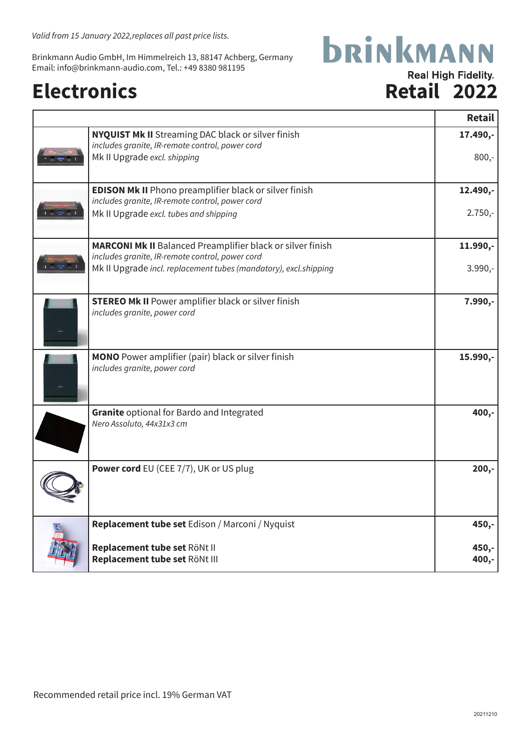*Valid from 15 January 2022,replaces all past price lists.*

Brinkmann Audio GmbH, Im Himmelreich 13, 88147 Achberg, Germany Email: info@brinkmann-audio.com, Tel.: +49 8380 981195

## Electronics Retail 2022

### **bRINKMANN Real High Fidelity.**

|                                                                                                                      | <b>Retail</b>  |
|----------------------------------------------------------------------------------------------------------------------|----------------|
| <b>NYQUIST Mk II</b> Streaming DAC black or silver finish<br>includes granite, IR-remote control, power cord         | 17.490,-       |
| Mk II Upgrade excl. shipping                                                                                         | $800,-$        |
| <b>EDISON Mk II</b> Phono preamplifier black or silver finish<br>includes granite, IR-remote control, power cord     | 12.490,-       |
| Mk II Upgrade excl. tubes and shipping                                                                               | $2.750,-$      |
| <b>MARCONI Mk II</b> Balanced Preamplifier black or silver finish<br>includes granite, IR-remote control, power cord | $11.990, -$    |
| Mk II Upgrade incl. replacement tubes (mandatory), excl.shipping                                                     | $3.990,-$      |
| <b>STEREO Mk II</b> Power amplifier black or silver finish<br>includes granite, power cord                           | $7.990,-$      |
| <b>MONO</b> Power amplifier (pair) black or silver finish<br>includes granite, power cord                            | 15.990,-       |
| Granite optional for Bardo and Integrated<br>Nero Assoluto, 44x31x3 cm                                               | 400,-          |
| <b>Power cord</b> EU (CEE 7/7), UK or US plug                                                                        | $200,-$        |
| Replacement tube set Edison / Marconi / Nyquist                                                                      | 450,-          |
| Replacement tube set RöNt II<br>Replacement tube set RöNt III                                                        | 450,-<br>400,- |